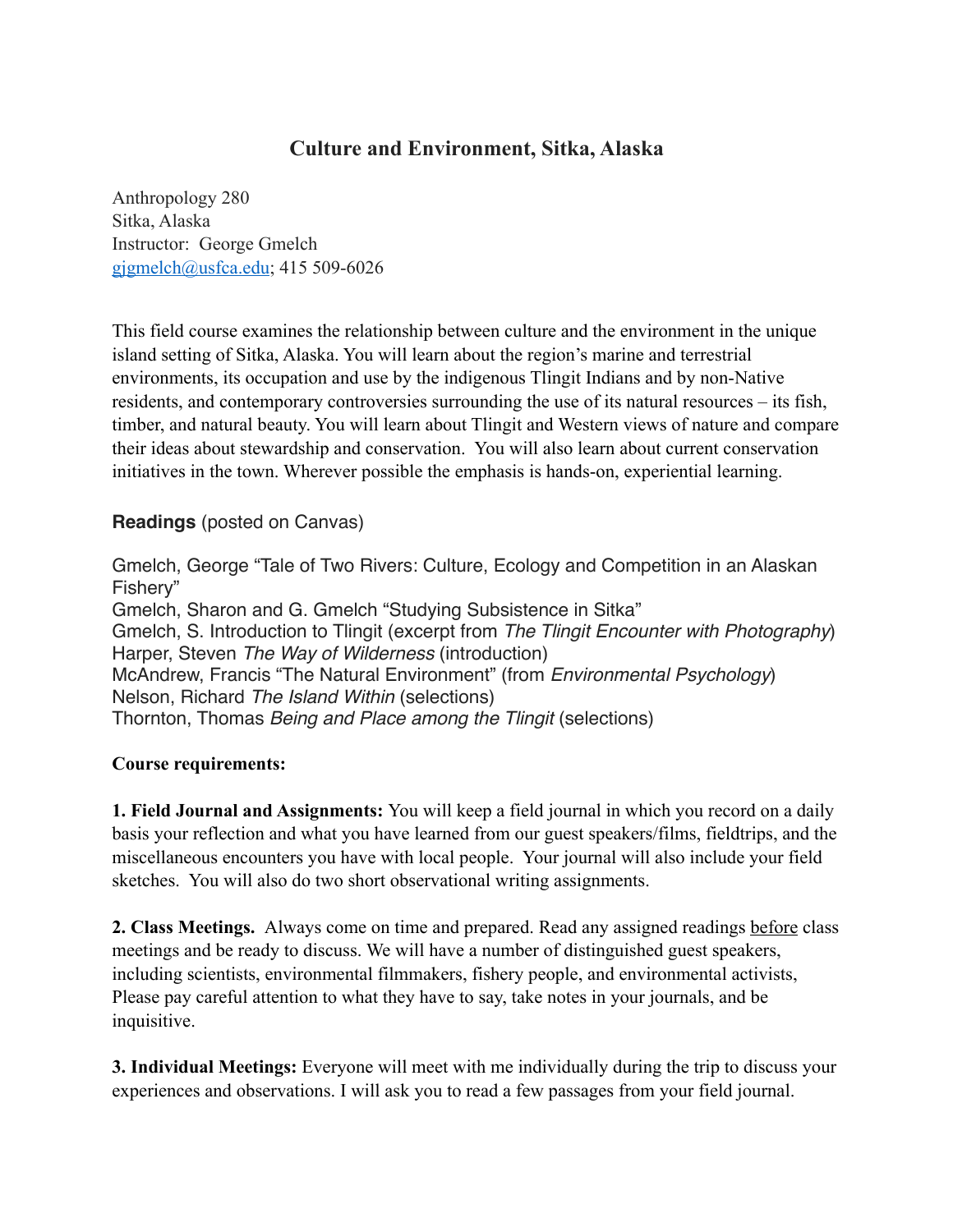# **Culture and Environment, Sitka, Alaska**

Anthropology 280 Sitka, Alaska Instructor: George Gmelch [gjgmelch@usfca.edu](mailto:gjgmelch@usfca.edu); 415 509-6026

This field course examines the relationship between culture and the environment in the unique island setting of Sitka, Alaska. You will learn about the region's marine and terrestrial environments, its occupation and use by the indigenous Tlingit Indians and by non-Native residents, and contemporary controversies surrounding the use of its natural resources – its fish, timber, and natural beauty. You will learn about Tlingit and Western views of nature and compare their ideas about stewardship and conservation. You will also learn about current conservation initiatives in the town. Wherever possible the emphasis is hands-on, experiential learning.

## **Readings** (posted on Canvas)

Gmelch, George "Tale of Two Rivers: Culture, Ecology and Competition in an Alaskan Fishery" Gmelch, Sharon and G. Gmelch "Studying Subsistence in Sitka" Gmelch, S. Introduction to Tlingit (excerpt from *The Tlingit Encounter with Photography*) Harper, Steven *The Way of Wilderness* (introduction) McAndrew, Francis "The Natural Environment" (from *Environmental Psychology*) Nelson, Richard *The Island Within* (selections) Thornton, Thomas *Being and Place among the Tlingit* (selections)

#### **Course requirements:**

**1. Field Journal and Assignments:** You will keep a field journal in which you record on a daily basis your reflection and what you have learned from our guest speakers/films, fieldtrips, and the miscellaneous encounters you have with local people. Your journal will also include your field sketches. You will also do two short observational writing assignments.

**2. Class Meetings.** Always come on time and prepared. Read any assigned readings before class meetings and be ready to discuss. We will have a number of distinguished guest speakers, including scientists, environmental filmmakers, fishery people, and environmental activists, Please pay careful attention to what they have to say, take notes in your journals, and be inquisitive.

**3. Individual Meetings:** Everyone will meet with me individually during the trip to discuss your experiences and observations. I will ask you to read a few passages from your field journal.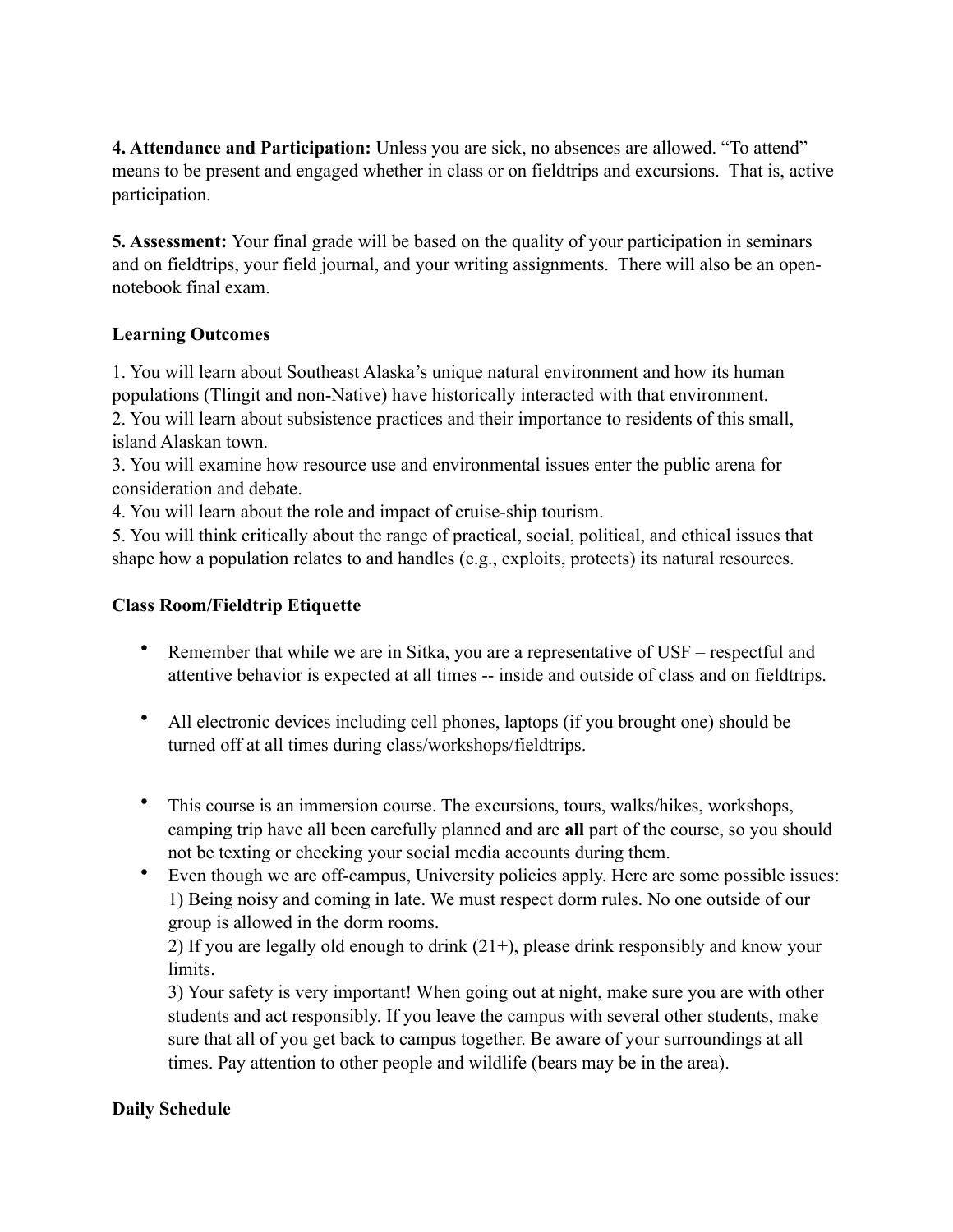**4. Attendance and Participation:** Unless you are sick, no absences are allowed. "To attend" means to be present and engaged whether in class or on fieldtrips and excursions. That is, active participation.

**5. Assessment:** Your final grade will be based on the quality of your participation in seminars and on fieldtrips, your field journal, and your writing assignments. There will also be an opennotebook final exam.

## **Learning Outcomes**

1. You will learn about Southeast Alaska's unique natural environment and how its human populations (Tlingit and non-Native) have historically interacted with that environment. 2. You will learn about subsistence practices and their importance to residents of this small, island Alaskan town.

3. You will examine how resource use and environmental issues enter the public arena for consideration and debate.

4. You will learn about the role and impact of cruise-ship tourism.

5. You will think critically about the range of practical, social, political, and ethical issues that shape how a population relates to and handles (e.g., exploits, protects) its natural resources.

#### **Class Room/Fieldtrip Etiquette**

- Remember that while we are in Sitka, you are a representative of USF respectful and attentive behavior is expected at all times -- inside and outside of class and on fieldtrips.
- All electronic devices including cell phones, laptops (if you brought one) should be turned off at all times during class/workshops/fieldtrips.
- This course is an immersion course. The excursions, tours, walks/hikes, workshops, camping trip have all been carefully planned and are **all** part of the course, so you should not be texting or checking your social media accounts during them.
- Even though we are off-campus, University policies apply. Here are some possible issues: 1) Being noisy and coming in late. We must respect dorm rules. No one outside of our group is allowed in the dorm rooms.

2) If you are legally old enough to drink (21+), please drink responsibly and know your limits.

3) Your safety is very important! When going out at night, make sure you are with other students and act responsibly. If you leave the campus with several other students, make sure that all of you get back to campus together. Be aware of your surroundings at all times. Pay attention to other people and wildlife (bears may be in the area).

# **Daily Schedule**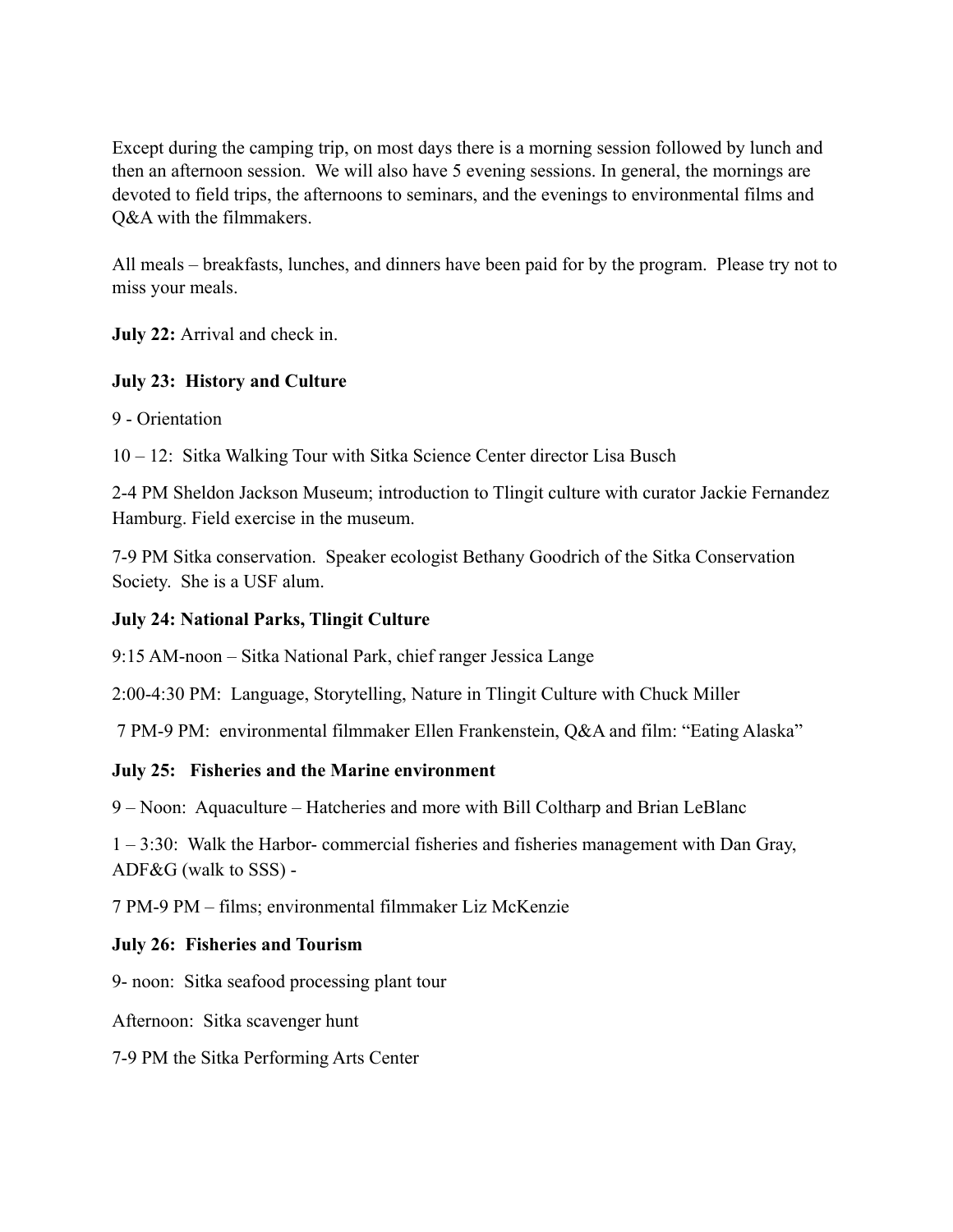Except during the camping trip, on most days there is a morning session followed by lunch and then an afternoon session. We will also have 5 evening sessions. In general, the mornings are devoted to field trips, the afternoons to seminars, and the evenings to environmental films and Q&A with the filmmakers.

All meals – breakfasts, lunches, and dinners have been paid for by the program. Please try not to miss your meals.

**July 22:** Arrival and check in.

## **July 23: History and Culture**

9 - Orientation

10 – 12: Sitka Walking Tour with Sitka Science Center director Lisa Busch

2-4 PM Sheldon Jackson Museum; introduction to Tlingit culture with curator Jackie Fernandez Hamburg. Field exercise in the museum.

7-9 PM Sitka conservation. Speaker ecologist Bethany Goodrich of the Sitka Conservation Society. She is a USF alum.

#### **July 24: National Parks, Tlingit Culture**

9:15 AM-noon – Sitka National Park, chief ranger Jessica Lange

2:00-4:30 PM: Language, Storytelling, Nature in Tlingit Culture with Chuck Miller

7 PM-9 PM: environmental filmmaker Ellen Frankenstein, Q&A and film: "Eating Alaska"

# **July 25: Fisheries and the Marine environment**

9 – Noon: Aquaculture – Hatcheries and more with Bill Coltharp and Brian LeBlanc

1 – 3:30: Walk the Harbor- commercial fisheries and fisheries management with Dan Gray, ADF&G (walk to SSS) -

7 PM-9 PM – films; environmental filmmaker Liz McKenzie

#### **July 26: Fisheries and Tourism**

9- noon: Sitka seafood processing plant tour

Afternoon: Sitka scavenger hunt

7-9 PM the Sitka Performing Arts Center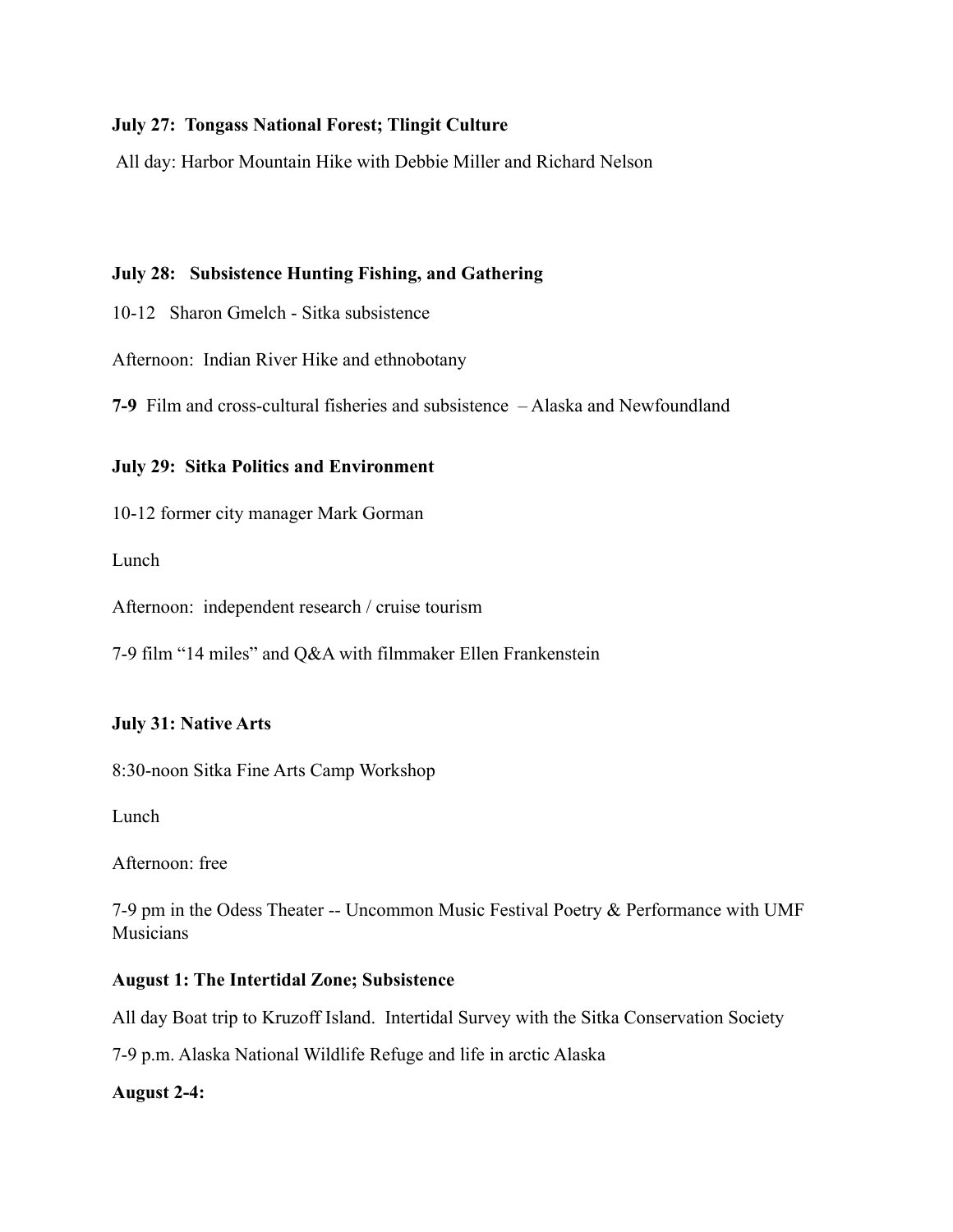#### **July 27: Tongass National Forest; Tlingit Culture**

All day: Harbor Mountain Hike with Debbie Miller and Richard Nelson

## **July 28: Subsistence Hunting Fishing, and Gathering**

- 10-12 Sharon Gmelch Sitka subsistence
- Afternoon: Indian River Hike and ethnobotany

**7-9** Film and cross-cultural fisheries and subsistence – Alaska and Newfoundland

#### **July 29: Sitka Politics and Environment**

10-12 former city manager Mark Gorman

Lunch

Afternoon: independent research / cruise tourism

7-9 film "14 miles" and Q&A with filmmaker Ellen Frankenstein

#### **July 31: Native Arts**

8:30-noon Sitka Fine Arts Camp Workshop

Lunch

Afternoon: free

7-9 pm in the Odess Theater -- Uncommon Music Festival Poetry & Performance with UMF Musicians

#### **August 1: The Intertidal Zone; Subsistence**

All day Boat trip to Kruzoff Island. Intertidal Survey with the Sitka Conservation Society

7-9 p.m. Alaska National Wildlife Refuge and life in arctic Alaska

#### **August 2-4:**